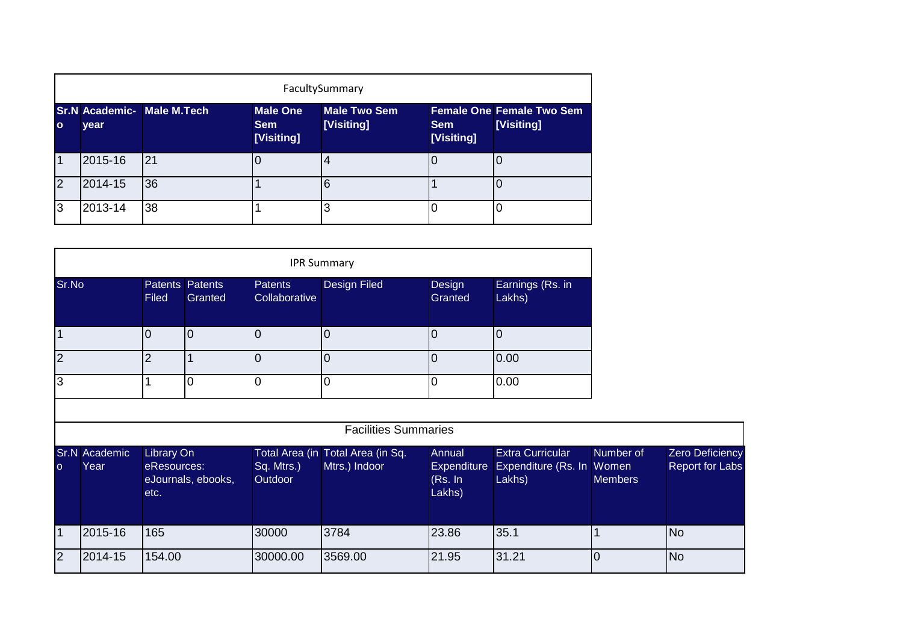|              | FacultySummary |                                   |                                             |                            |                          |                                                |  |  |  |  |
|--------------|----------------|-----------------------------------|---------------------------------------------|----------------------------|--------------------------|------------------------------------------------|--|--|--|--|
| $\mathbf{o}$ | year           | <b>Sr.N Academic- Male M.Tech</b> | <b>Male One</b><br><b>Sem</b><br>[Visiting] | Male Two Sem<br>[Visiting] | <b>Sem</b><br>[Visiting] | <b>Female One Female Two Sem</b><br>[Visiting] |  |  |  |  |
|              | 2015-16        | 21                                |                                             | $\overline{4}$             |                          |                                                |  |  |  |  |
| 2            | 2014-15        | 36                                |                                             | 6                          |                          |                                                |  |  |  |  |
| 3            | 2013-14        | 38                                |                                             | 3                          |                          |                                                |  |  |  |  |

| <b>IPR Summary</b> |                                        |         |                          |                     |                   |                            |  |  |  |  |
|--------------------|----------------------------------------|---------|--------------------------|---------------------|-------------------|----------------------------|--|--|--|--|
| Sr.No              | <b>Patents Patents</b><br><b>Filed</b> | Granted | Patents<br>Collaborative | <b>Design Filed</b> | Design<br>Granted | Earnings (Rs. in<br>Lakhs) |  |  |  |  |
|                    | $\overline{0}$                         | 10      | 0                        |                     | U                 |                            |  |  |  |  |
| $\overline{2}$     | 2                                      |         | 0                        |                     |                   | 0.00                       |  |  |  |  |
| 3                  |                                        | 0       |                          |                     |                   | 0.00                       |  |  |  |  |
|                    |                                        |         |                          |                     |                   |                            |  |  |  |  |

|           | <b>Facilities Summaries</b>  |                                                         |                              |                                                    |                                            |                                                                |                             |                                                  |  |  |  |  |
|-----------|------------------------------|---------------------------------------------------------|------------------------------|----------------------------------------------------|--------------------------------------------|----------------------------------------------------------------|-----------------------------|--------------------------------------------------|--|--|--|--|
| <b>O</b>  | <b>Sr.N</b> Academic<br>Year | Library On<br>eResources:<br>eJournals, ebooks,<br>etc. | Sq. Mtrs.)<br><b>Outdoor</b> | Total Area (in Total Area (in Sq.<br>Mtrs.) Indoor | Annual<br>Expenditure<br>(Rs. In<br>Lakhs) | <b>Extra Curricular</b><br>Expenditure (Rs. In Women<br>Lakhs) | Number of<br><b>Members</b> | <b>Zero Deficiency</b><br><b>Report for Labs</b> |  |  |  |  |
| l 1       | 2015-16                      | 165                                                     | 30000                        | 3784                                               | 23.86                                      | 35.1                                                           |                             | <b>No</b>                                        |  |  |  |  |
| <u> 2</u> | 2014-15                      | 154.00                                                  | 30000.00                     | 3569.00                                            | 21.95                                      | 31.21                                                          |                             | <b>No</b>                                        |  |  |  |  |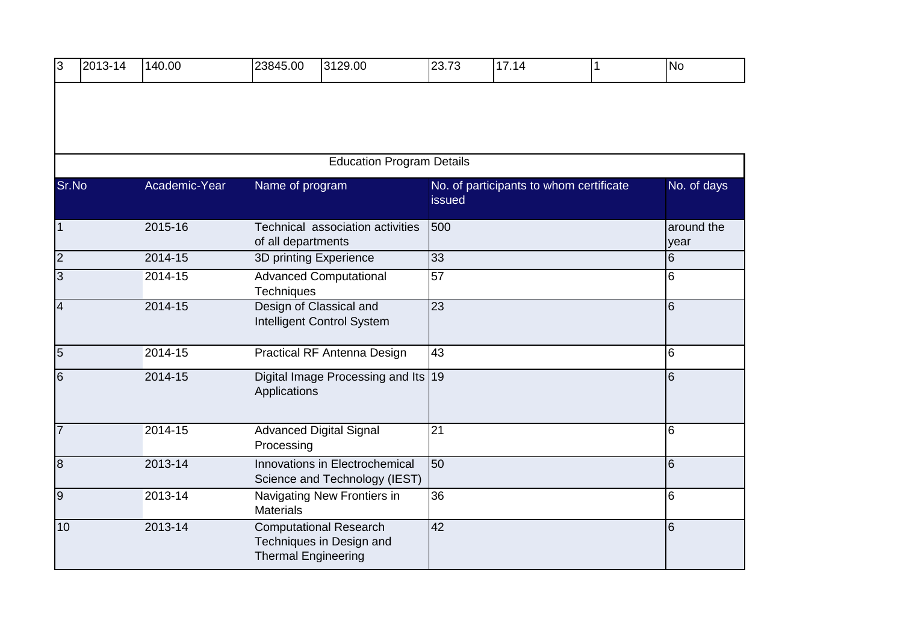| 3               | 2013-14                          | 140.00        | 23845.00                                     | 3129.00                                                         | 23.73           | 17.14                                   | 1 | <b>No</b>          |  |  |
|-----------------|----------------------------------|---------------|----------------------------------------------|-----------------------------------------------------------------|-----------------|-----------------------------------------|---|--------------------|--|--|
|                 |                                  |               |                                              |                                                                 |                 |                                         |   |                    |  |  |
|                 |                                  |               |                                              |                                                                 |                 |                                         |   |                    |  |  |
|                 | <b>Education Program Details</b> |               |                                              |                                                                 |                 |                                         |   |                    |  |  |
| Sr.No           |                                  | Academic-Year | Name of program                              |                                                                 | issued          | No. of participants to whom certificate |   | No. of days        |  |  |
| $\overline{1}$  |                                  | 2015-16       | of all departments                           | Technical association activities                                | 500             |                                         |   | around the<br>year |  |  |
| $\overline{c}$  |                                  | 2014-15       | 3D printing Experience                       |                                                                 | 33              |                                         |   | $6\phantom{.}6$    |  |  |
| $\overline{3}$  |                                  | 2014-15       | Techniques                                   | <b>Advanced Computational</b>                                   | 57              |                                         |   | 6                  |  |  |
| $\overline{4}$  |                                  | 2014-15       | Design of Classical and                      | Intelligent Control System                                      | 23              |                                         |   | 6                  |  |  |
| $\overline{5}$  |                                  | 2014-15       |                                              | Practical RF Antenna Design                                     | 43              |                                         |   | l6                 |  |  |
| $6\phantom{1}6$ |                                  | $2014 - 15$   | Applications                                 | Digital Image Processing and Its   19                           |                 |                                         |   | 6                  |  |  |
| $\overline{7}$  |                                  | 2014-15       | <b>Advanced Digital Signal</b><br>Processing |                                                                 | 21              |                                         |   | l6                 |  |  |
| $\overline{8}$  |                                  | $2013 - 14$   |                                              | Innovations in Electrochemical<br>Science and Technology (IEST) | 50              |                                         |   | l6                 |  |  |
| $\overline{9}$  |                                  | 2013-14       | <b>Materials</b>                             | Navigating New Frontiers in                                     | 36              |                                         |   | l6                 |  |  |
| 10              |                                  | $2013 - 14$   | <b>Thermal Engineering</b>                   | <b>Computational Research</b><br>Techniques in Design and       | $\overline{42}$ |                                         |   | l6                 |  |  |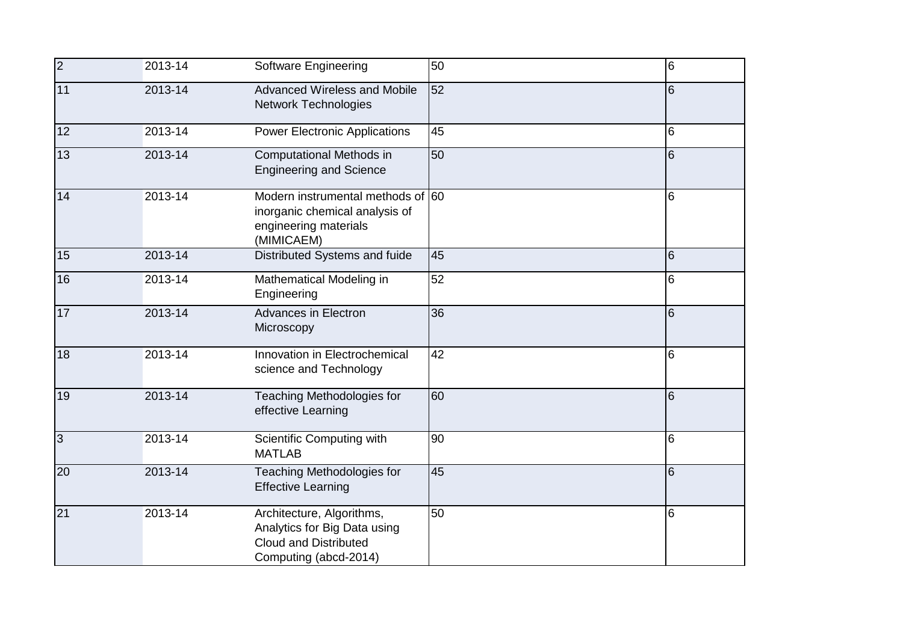| $\overline{2}$  | 2013-14     | Software Engineering                                                                                               | 50 | l6 |
|-----------------|-------------|--------------------------------------------------------------------------------------------------------------------|----|----|
| 11              | 2013-14     | <b>Advanced Wireless and Mobile</b><br>Network Technologies                                                        | 52 | 6  |
| 12              | 2013-14     | <b>Power Electronic Applications</b>                                                                               | 45 | 6  |
| 13              | $2013 - 14$ | Computational Methods in<br><b>Engineering and Science</b>                                                         | 50 | 6  |
| 14              | 2013-14     | Modern instrumental methods of 60<br>inorganic chemical analysis of<br>engineering materials<br>(MIMICAEM)         |    | 6  |
| 15              | 2013-14     | Distributed Systems and fuide                                                                                      | 45 | 6  |
| 16              | 2013-14     | Mathematical Modeling in<br>Engineering                                                                            | 52 | 6  |
| 17              | 2013-14     | <b>Advances in Electron</b><br>Microscopy                                                                          | 36 | 16 |
| 18              | 2013-14     | Innovation in Electrochemical<br>science and Technology                                                            | 42 | l6 |
| 19              | $2013 - 14$ | <b>Teaching Methodologies for</b><br>effective Learning                                                            | 60 | l6 |
| $\overline{3}$  | 2013-14     | Scientific Computing with<br><b>MATLAB</b>                                                                         | 90 | 6  |
| 20              | 2013-14     | Teaching Methodologies for<br><b>Effective Learning</b>                                                            | 45 | 6  |
| $\overline{21}$ | 2013-14     | Architecture, Algorithms,<br>Analytics for Big Data using<br><b>Cloud and Distributed</b><br>Computing (abcd-2014) | 50 | 6  |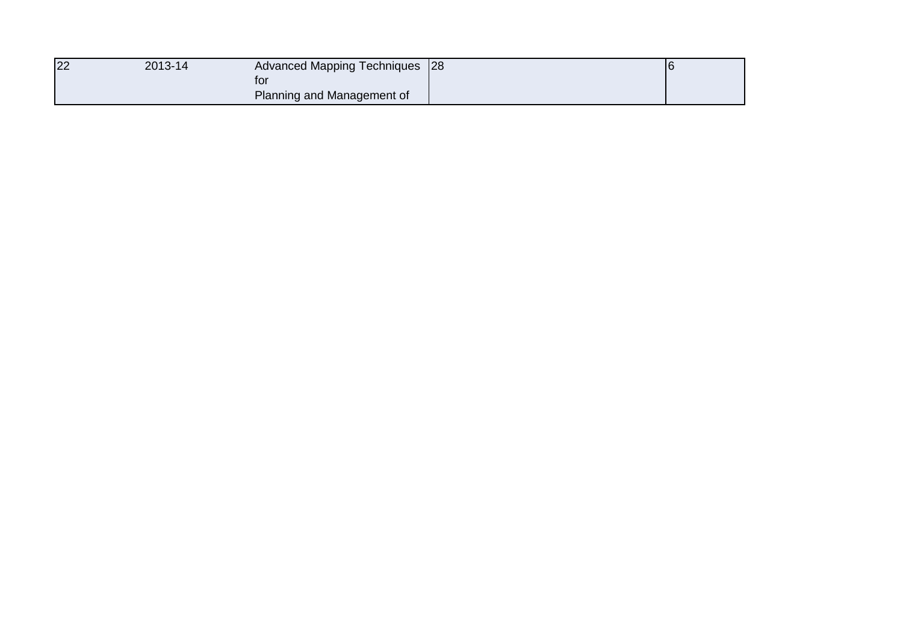| 22 | 2013-14 | Advanced Mapping Techniques 28    |  |
|----|---------|-----------------------------------|--|
|    |         | tor<br>Planning and Management of |  |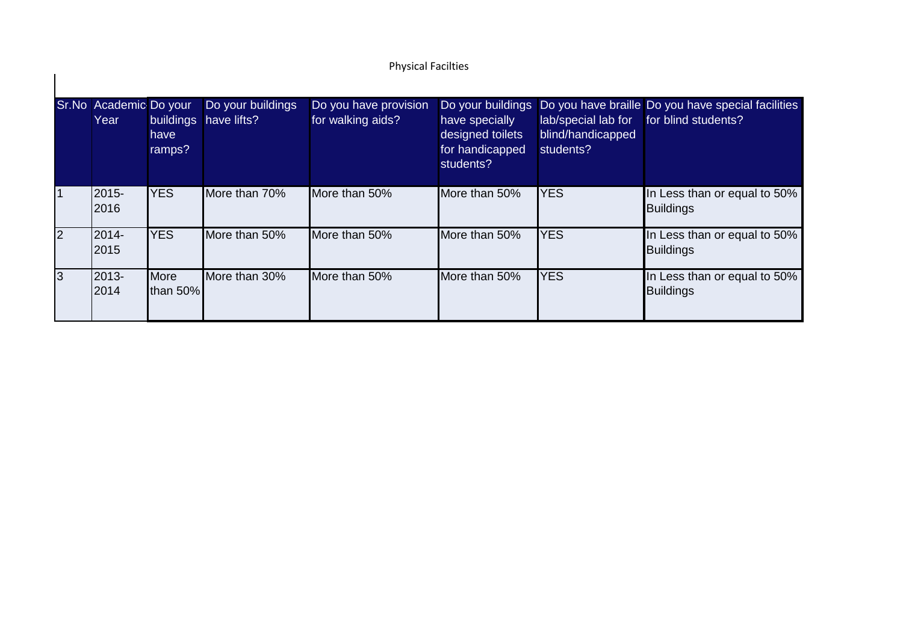## Physical Facilties

|                | Sr.No Academic Do your<br>Year | <b>buildings</b><br>have<br>ramps? | Do your buildings<br>have lifts? | Do you have provision<br>for walking aids? | have specially<br>designed toilets<br>for handicapped<br>students? | lab/special lab for<br>blind/handicapped<br>students? | Do your buildings Do you have braille Do you have special facilities<br>for blind students? |
|----------------|--------------------------------|------------------------------------|----------------------------------|--------------------------------------------|--------------------------------------------------------------------|-------------------------------------------------------|---------------------------------------------------------------------------------------------|
| $\overline{1}$ | 2015-<br>2016                  | <b>YES</b>                         | More than 70%                    | More than 50%                              | More than 50%                                                      | <b>YES</b>                                            | In Less than or equal to 50%<br><b>Buildings</b>                                            |
| $\vert$ 2      | <b>2014-</b><br>2015           | <b>YES</b>                         | More than 50%                    | More than 50%                              | More than 50%                                                      | <b>YES</b>                                            | In Less than or equal to 50%<br><b>Buildings</b>                                            |
| 3              | 2013-<br>2014                  | <b>More</b><br>than 50%            | More than 30%                    | More than 50%                              | More than 50%                                                      | <b>YES</b>                                            | In Less than or equal to 50%<br><b>Buildings</b>                                            |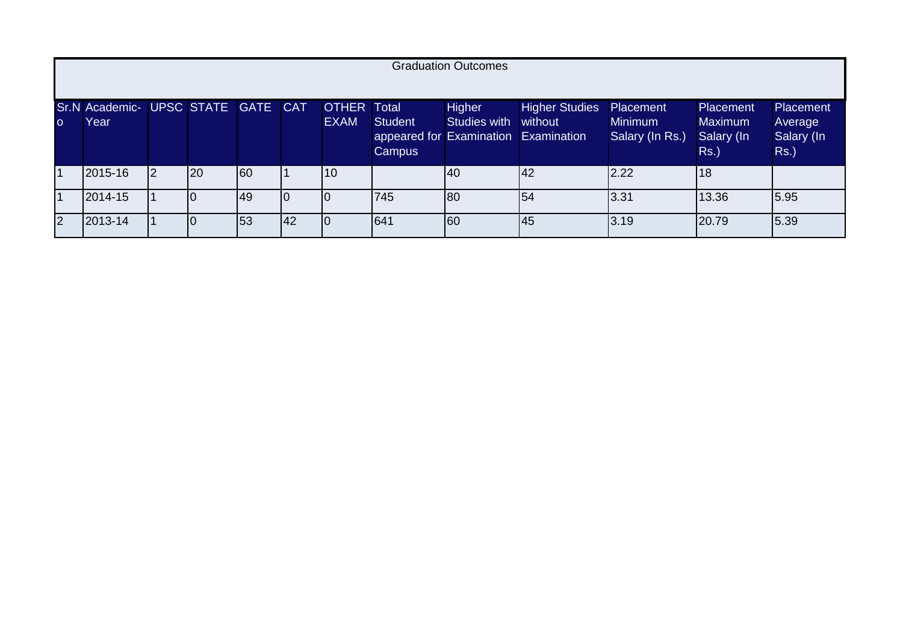|                | <b>Graduation Outcomes</b>                 |  |    |     |     |                                   |                                                                         |                               |                                  |                                                |                                                             |                                                      |
|----------------|--------------------------------------------|--|----|-----|-----|-----------------------------------|-------------------------------------------------------------------------|-------------------------------|----------------------------------|------------------------------------------------|-------------------------------------------------------------|------------------------------------------------------|
| $\circ$        | Sr.N Academic- UPSC STATE GATE CAT<br>Year |  |    |     |     | <b>OTHER Total</b><br><b>EXAM</b> | <b>Student</b><br>appeared for Examination Examination<br><b>Campus</b> | Higher<br><b>Studies with</b> | <b>Higher Studies</b><br>without | Placement<br><b>Minimum</b><br>Salary (In Rs.) | <b>Placement</b><br><b>Maximum</b><br>Salary (In<br>$Rs.$ ) | <b>Placement</b><br>Average<br>Salary (In<br>$Rs.$ ) |
| $\vert$ 1      | 2015-16                                    |  | 20 | 160 |     | 10                                |                                                                         | <b>40</b>                     | 42                               | 2.22                                           | 18                                                          |                                                      |
| $\vert$ 1      | 2014-15                                    |  |    | 49  |     |                                   | 745                                                                     | 180                           | 154                              | 3.31                                           | 13.36                                                       | 5.95                                                 |
| $\overline{2}$ | 2013-14                                    |  |    | 53  | 142 |                                   | 641                                                                     | 160                           | 45                               | 3.19                                           | 20.79                                                       | 5.39                                                 |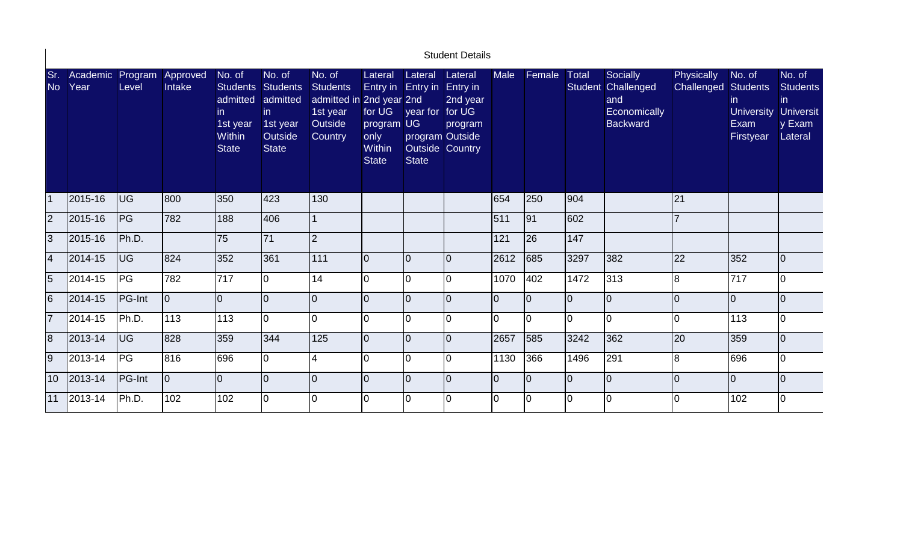|                  |                  |                  |                    |                                                                        |                                                                                             |                                                                                         |                                                                                   |                                                                                               | <b>Student Details</b>                                                  |             |                 |              |                                                                          |                                   |                                                         |                                                                           |
|------------------|------------------|------------------|--------------------|------------------------------------------------------------------------|---------------------------------------------------------------------------------------------|-----------------------------------------------------------------------------------------|-----------------------------------------------------------------------------------|-----------------------------------------------------------------------------------------------|-------------------------------------------------------------------------|-------------|-----------------|--------------|--------------------------------------------------------------------------|-----------------------------------|---------------------------------------------------------|---------------------------------------------------------------------------|
| Sr.<br><b>No</b> | Academic<br>Year | Program<br>Level | Approved<br>Intake | No. of<br>admitted<br>in.<br>1st year<br><b>Within</b><br><b>State</b> | No. of<br>Students Students<br>admitted<br>in<br>1st year<br><b>Outside</b><br><b>State</b> | No. of<br><b>Students</b><br>admitted in 2nd year 2nd<br>1st year<br>Outside<br>Country | Lateral<br>Entry in<br>for UG<br>program<br>only<br><b>Within</b><br><b>State</b> | Lateral<br><b>Entry in</b><br>year for<br><b>UG</b><br><b>Outside Country</b><br><b>State</b> | Lateral<br>Entry in<br>2nd year<br>for UG<br>program<br>program Outside | <b>Male</b> | Female          | <b>Total</b> | Socially<br>Student Challenged<br>and<br>Economically<br><b>Backward</b> | Physically<br>Challenged Students | No. of<br>in.<br><b>University</b><br>Exam<br>Firstyear | No. of<br><b>Students</b><br>in.<br><b>Universit</b><br>y Exam<br>Lateral |
|                  | 2015-16          | <b>UG</b>        | 800                | 350                                                                    | 423                                                                                         | 130                                                                                     |                                                                                   |                                                                                               |                                                                         | 654         | 250             | 904          |                                                                          | 21                                |                                                         |                                                                           |
| 2                | 2015-16          | PG               | 782                | 188                                                                    | 406                                                                                         |                                                                                         |                                                                                   |                                                                                               |                                                                         | 511         | $\overline{91}$ | 602          |                                                                          |                                   |                                                         |                                                                           |
| 3                | 2015-16          | Ph.D.            |                    | 75                                                                     | 71                                                                                          | $\overline{2}$                                                                          |                                                                                   |                                                                                               |                                                                         | 121         | 26              | 147          |                                                                          |                                   |                                                         |                                                                           |
| 4                | 2014-15          | <b>UG</b>        | 824                | 352                                                                    | 361                                                                                         | 111                                                                                     | $\overline{0}$                                                                    | $\Omega$                                                                                      |                                                                         | 2612        | 685             | 3297         | 382                                                                      | 22                                | 352                                                     | IO.                                                                       |
| 5                | 2014-15          | <b>IPG</b>       | 782                | 717                                                                    | lo.                                                                                         | 14                                                                                      | $\Omega$                                                                          | ∩                                                                                             | $\Omega$                                                                | 1070        | 402             | 1472         | 313                                                                      | 8                                 | 717                                                     | l0                                                                        |
| $6\phantom{.}6$  | 2014-15          | <b>PG-Int</b>    | $ 0\rangle$        | $\overline{0}$                                                         | lo.                                                                                         | 0                                                                                       | 0                                                                                 | 0                                                                                             |                                                                         | l0          | l0              | $\Omega$     | $\overline{0}$                                                           |                                   | $\overline{0}$                                          | l0                                                                        |
| 17               | 2014-15          | Ph.D.            | 113                | 113                                                                    | Io                                                                                          | 0                                                                                       | 0                                                                                 | 0                                                                                             |                                                                         | 0           | I٥              | $\Omega$     | 0                                                                        |                                   | 113                                                     | IO.                                                                       |
| $\overline{8}$   | 2013-14          | <b>UG</b>        | 828                | 359                                                                    | 344                                                                                         | 125                                                                                     | $\overline{0}$                                                                    | $\Omega$                                                                                      | $\Omega$                                                                | 2657        | 585             | 3242         | 362                                                                      | 20                                | 359                                                     | l0                                                                        |
| $\overline{9}$   | 2013-14          | PG               | 816                | 696                                                                    | lo.                                                                                         | 4                                                                                       | $\Omega$                                                                          | O                                                                                             | $\Omega$                                                                | 1130        | 366             | 1496         | 291                                                                      | l8                                | 696                                                     | I٥                                                                        |
| 10 <sup>°</sup>  | 2013-14          | <b>PG-Int</b>    | $ 0\rangle$        | l0                                                                     | l0                                                                                          | $\overline{0}$                                                                          | $\overline{0}$                                                                    | $\overline{0}$                                                                                | $\Omega$                                                                | l0          | Iо              | l0           | $\overline{0}$                                                           | I٥                                | $\overline{0}$                                          | l0                                                                        |
| 11               | 2013-14          | Ph.D.            | 102                | 102                                                                    | I0                                                                                          | 0                                                                                       | 0                                                                                 | U                                                                                             |                                                                         | l0          | IО              | l0           | $\overline{0}$                                                           | IN                                | 102                                                     | l0                                                                        |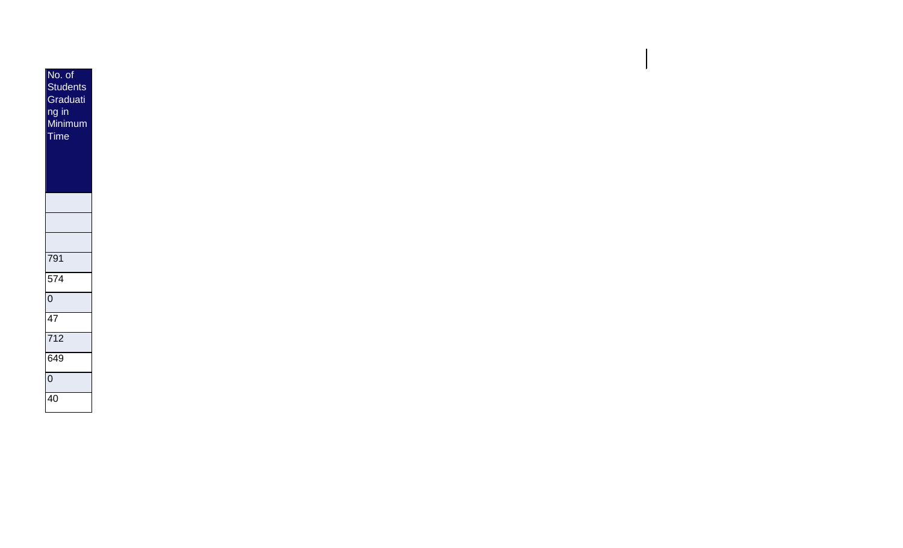| No. of<br><b>Students</b><br>Graduati<br>ng in<br>Minimum<br><b>Time</b> |
|--------------------------------------------------------------------------|
|                                                                          |
|                                                                          |
|                                                                          |
| 791                                                                      |
| $\frac{1}{574}$                                                          |
| $\overline{0}$                                                           |
| 47                                                                       |
| $\overline{712}$                                                         |
| $\overline{649}$                                                         |
| $\overline{0}$                                                           |
| 40                                                                       |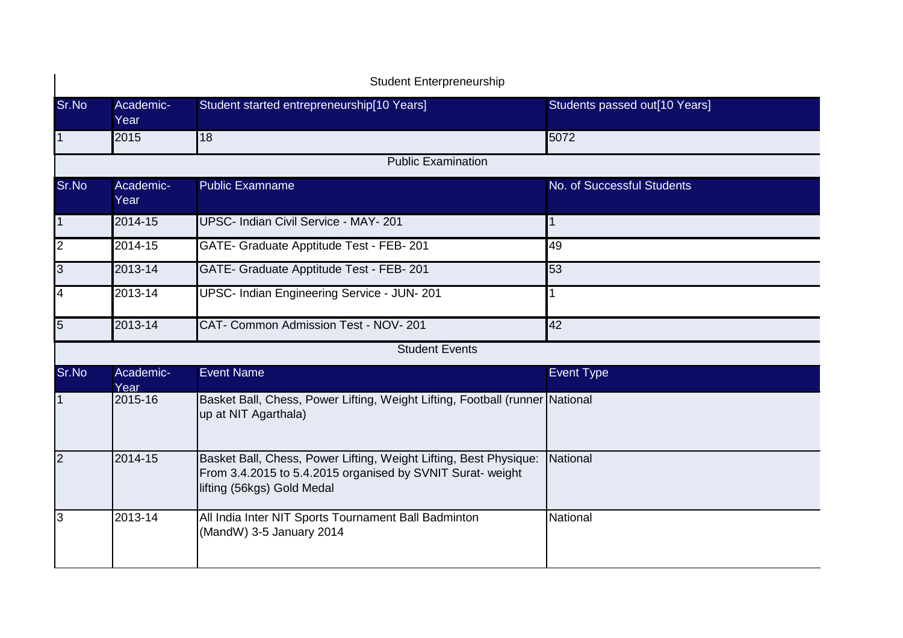|                 |                   | <b>Student Enterpreneurship</b>                                                                                                                               |                               |
|-----------------|-------------------|---------------------------------------------------------------------------------------------------------------------------------------------------------------|-------------------------------|
| Sr.No           | Academic-<br>Year | Student started entrepreneurship[10 Years]                                                                                                                    | Students passed out[10 Years] |
| $\overline{1}$  | 2015              | $\overline{18}$                                                                                                                                               | 5072                          |
|                 |                   | <b>Public Examination</b>                                                                                                                                     |                               |
| Sr.No           | Academic-<br>Year | <b>Public Examname</b>                                                                                                                                        | No. of Successful Students    |
| $\overline{1}$  | 2014-15           | UPSC- Indian Civil Service - MAY- 201                                                                                                                         | 1                             |
| N               | 2014-15           | GATE- Graduate Apptitude Test - FEB- 201                                                                                                                      | 49                            |
| ω               | 2013-14           | GATE- Graduate Apptitude Test - FEB- 201                                                                                                                      | 53                            |
| $\overline{4}$  | 2013-14           | UPSC- Indian Engineering Service - JUN- 201                                                                                                                   |                               |
| $5\overline{5}$ | 2013-14           | CAT- Common Admission Test - NOV- 201                                                                                                                         | 42                            |
|                 |                   | <b>Student Events</b>                                                                                                                                         |                               |
| Sr.No           | Academic-<br>Year | <b>Event Name</b>                                                                                                                                             | <b>Event Type</b>             |
| $\mathbf{1}$    | 2015-16           | Basket Ball, Chess, Power Lifting, Weight Lifting, Football (runner National<br>up at NIT Agarthala)                                                          |                               |
| $\overline{2}$  | 2014-15           | Basket Ball, Chess, Power Lifting, Weight Lifting, Best Physique:<br>From 3.4.2015 to 5.4.2015 organised by SVNIT Surat- weight<br>lifting (56kgs) Gold Medal | National                      |
| $\overline{3}$  | 2013-14           | All India Inter NIT Sports Tournament Ball Badminton<br>(MandW) 3-5 January 2014                                                                              | National                      |